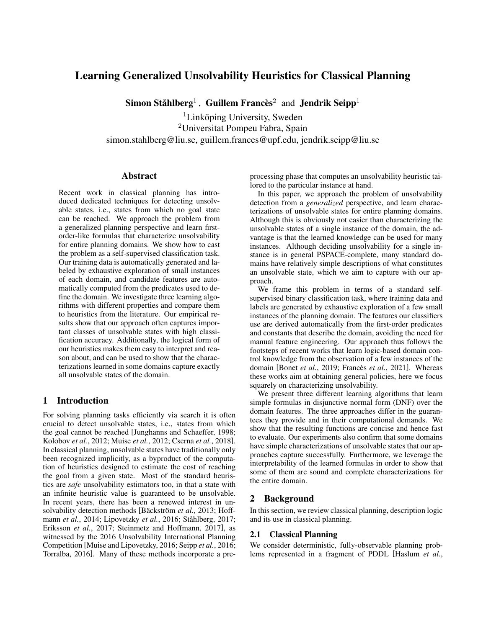# Learning Generalized Unsolvability Heuristics for Classical Planning

Simon Ståhlberg<sup>1</sup>, Guillem Francès<sup>2</sup> and Jendrik Seipp<sup>1</sup>

 ${}^{1}$ Linköping University, Sweden <sup>2</sup>Universitat Pompeu Fabra, Spain simon.stahlberg@liu.se, guillem.frances@upf.edu, jendrik.seipp@liu.se

#### Abstract

Recent work in classical planning has introduced dedicated techniques for detecting unsolvable states, i.e., states from which no goal state can be reached. We approach the problem from a generalized planning perspective and learn firstorder-like formulas that characterize unsolvability for entire planning domains. We show how to cast the problem as a self-supervised classification task. Our training data is automatically generated and labeled by exhaustive exploration of small instances of each domain, and candidate features are automatically computed from the predicates used to define the domain. We investigate three learning algorithms with different properties and compare them to heuristics from the literature. Our empirical results show that our approach often captures important classes of unsolvable states with high classification accuracy. Additionally, the logical form of our heuristics makes them easy to interpret and reason about, and can be used to show that the characterizations learned in some domains capture exactly all unsolvable states of the domain.

## 1 Introduction

For solving planning tasks efficiently via search it is often crucial to detect unsolvable states, i.e., states from which the goal cannot be reached [\[Junghanns and Schaeffer, 1998;](#page-6-0) [Kolobov](#page-6-1) *et al.*, 2012; [Muise](#page-6-2) *et al.*, 2012; [Cserna](#page-6-3) *et al.*, 2018]. In classical planning, unsolvable states have traditionally only been recognized implicitly, as a byproduct of the computation of heuristics designed to estimate the cost of reaching the goal from a given state. Most of the standard heuristics are *safe* unsolvability estimators too, in that a state with an infinite heuristic value is guaranteed to be unsolvable. In recent years, there has been a renewed interest in un-solvability detection methods [Bäckström et al., 2013; [Hoff](#page-6-5)mann *et al.*[, 2014;](#page-6-5) [Lipovetzky](#page-6-6) *et al.*, 2016; Ståhlberg, 2017; [Eriksson](#page-6-8) *et al.*, 2017; [Steinmetz and Hoffmann, 2017\]](#page-6-9), as witnessed by the 2016 Unsolvability International Planning Competition [\[Muise and Lipovetzky, 2016;](#page-6-10) [Seipp](#page-6-11) *et al.*, 2016; [Torralba, 2016\]](#page-6-12). Many of these methods incorporate a preprocessing phase that computes an unsolvability heuristic tailored to the particular instance at hand.

In this paper, we approach the problem of unsolvability detection from a *generalized* perspective, and learn characterizations of unsolvable states for entire planning domains. Although this is obviously not easier than characterizing the unsolvable states of a single instance of the domain, the advantage is that the learned knowledge can be used for many instances. Although deciding unsolvability for a single instance is in general PSPACE-complete, many standard domains have relatively simple descriptions of what constitutes an unsolvable state, which we aim to capture with our approach.

We frame this problem in terms of a standard selfsupervised binary classification task, where training data and labels are generated by exhaustive exploration of a few small instances of the planning domain. The features our classifiers use are derived automatically from the first-order predicates and constants that describe the domain, avoiding the need for manual feature engineering. Our approach thus follows the footsteps of recent works that learn logic-based domain control knowledge from the observation of a few instances of the domain [Bonet *et al.*[, 2019;](#page-6-13) Francès *et al.*, 2021]. Whereas these works aim at obtaining general policies, here we focus squarely on characterizing unsolvability.

We present three different learning algorithms that learn simple formulas in disjunctive normal form (DNF) over the domain features. The three approaches differ in the guarantees they provide and in their computational demands. We show that the resulting functions are concise and hence fast to evaluate. Our experiments also confirm that some domains have simple characterizations of unsolvable states that our approaches capture successfully. Furthermore, we leverage the interpretability of the learned formulas in order to show that some of them are sound and complete characterizations for the entire domain.

## 2 Background

In this section, we review classical planning, description logic and its use in classical planning.

#### 2.1 Classical Planning

We consider deterministic, fully-observable planning problems represented in a fragment of PDDL [\[Haslum](#page-6-15) *et al.*,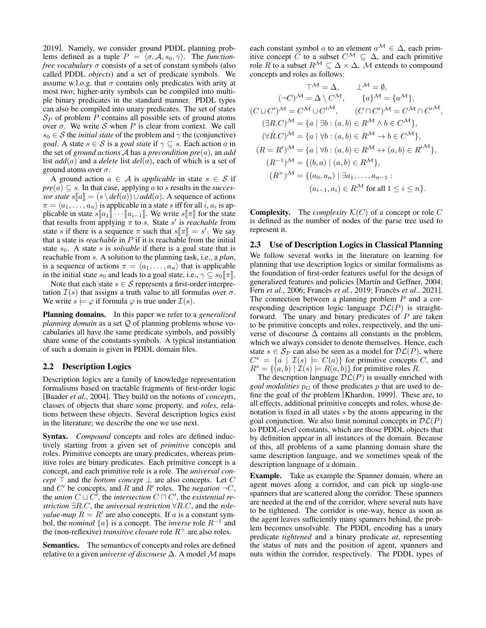[2019\]](#page-6-15). Namely, we consider ground PDDL planning problems defined as a tuple  $P = \langle \sigma, A, s_0, \gamma \rangle$ . The *functionfree vocabulary* σ consists of a set of constant symbols (also called PDDL *objects*) and a set of predicate symbols. We assume w.l.o.g. that  $\sigma$  contains only predicates with arity at most two; higher-arity symbols can be compiled into multiple binary predicates in the standard manner. PDDL types can also be compiled into unary predicates. The set of states  $S_P$  of problem  $P$  contains all possible sets of ground atoms over  $\sigma$ . We write S when P is clear from context. We call  $s_0 \in S$  the *initial state* of the problem and  $\gamma$  the (conjunctive) *goal*. A state  $s \in S$  is a *goal state* if  $\gamma \subseteq s$ . Each action a in the set of *ground actions* A has a *precondition pre*(a), an *add* list *add*(a) and a *delete* list *del*(a), each of which is a set of ground atoms over  $\sigma$ .

A ground action  $a \in A$  is *applicable* in state  $s \in S$  if  $pre(a) \subseteq s$ . In that case, applying a to s results in the *successor state*  $s[[a]] = (s \ \delta] \cup add(a)$ . A sequence of actions  $\pi = \langle a_1, \ldots, a_n \rangle$  is applicable in a state s iff for all i,  $a_i$  is applicable in state  $s[[a_1]\cdots[a_{i-1}]]$ . We write  $s[[\pi]]$  for the state that results from applying  $\pi$  to s. State s' is *reachable* from state s if there is a sequence  $\pi$  such that  $s[\pi] = s'$ . We say that a state is *reachable* in P if it is reachable from the initial state  $s_0$ . A state s is *solvable* if there is a goal state that is reachable from s. A solution to the planning task, i.e., a *plan*, is a sequence of actions  $\pi = \langle a_1, \ldots, a_n \rangle$  that is applicable in the initial state  $s_0$  and leads to a goal state, i.e.,  $\gamma \subseteq s_0[\![\pi]\!]$ .

Note that each state  $s \in \mathcal{S}$  represents a first-order interpretation  $\mathcal{I}(s)$  that assigns a truth value to all formulas over  $\sigma$ . We write  $s \models \varphi$  if formula  $\varphi$  is true under  $\mathcal{I}(s)$ .

Planning domains. In this paper we refer to a *generalized planning domain* as a set Q of planning problems whose vocabularies all have the same predicate symbols, and possibly share some of the constants symbols. A typical instantiation of such a domain is given in PDDL domain files.

#### 2.2 Description Logics

Description logics are a family of knowledge representation formalisms based on tractable fragments of first-order logic [\[Baader](#page-6-16) *et al.*, 2004]. They build on the notions of *concepts*, classes of objects that share some property, and *roles*, relations between these objects. Several description logics exist in the literature; we describe the one we use next.

Syntax. *Compound* concepts and roles are defined inductively starting from a given set of *primitive* concepts and roles. Primitive concepts are unary predicates, whereas primitive roles are binary predicates. Each primitive concept is a concept, and each primitive role is a role. The *universal concept*  $\top$  and the *bottom concept*  $\bot$  are also concepts. Let C and  $C'$  be concepts, and R and R' roles. The *negation*  $\neg C$ , the *union*  $C \sqcup C^{\overline{\prime}}$ , the *intersection*  $C \sqcap C^{\prime}$ , the *existential restriction* ∃R.C, the *universal restriction* ∀R.C, and the *rolevalue-map*  $R = R'$  are also concepts. If a is a constant symbol, the *nominal*  $\{a\}$  is a concept. The *inverse* role  $R^{-1}$  and the (non-reflexive) *transitive closure* role  $R^+$  are also roles.

Semantics. The semantics of concepts and roles are defined relative to a given *universe of discourse* ∆. A model M maps each constant symbol a to an element  $a^{\mathcal{M}} \in \Delta$ , each primitive concept  $\check{C}$  to a subset  $C^{\mathcal{M}} \subseteq \Delta$ , and each primitive role R to a subset  $R^{\mathcal{M}} \subseteq \Delta \times \Delta$ . M extends to compound concepts and roles as follows:

$$
\top^{\mathcal{M}} = \Delta, \qquad \bot^{\mathcal{M}} = \emptyset,
$$
  
\n
$$
(\neg C)^{\mathcal{M}} = \Delta \setminus C^{\mathcal{M}}, \qquad \{a\}^{\mathcal{M}} = \{a^{\mathcal{M}}\},
$$
  
\n
$$
(C \sqcup C')^{\mathcal{M}} = C^{\mathcal{M}} \cup C'^{\mathcal{M}}, \qquad (C \sqcap C')^{\mathcal{M}} = C^{\mathcal{M}} \cap C'^{\mathcal{M}},
$$
  
\n
$$
(\exists R.C)^{\mathcal{M}} = \{a \mid \exists b : (a, b) \in R^{\mathcal{M}} \land b \in C^{\mathcal{M}}\},
$$
  
\n
$$
(\forall R.C)^{\mathcal{M}} = \{a \mid \forall b : (a, b) \in R^{\mathcal{M}} \to b \in C^{\mathcal{M}}\},
$$
  
\n
$$
(R = R')^{\mathcal{M}} = \{a \mid \forall b : (a, b) \in R^{\mathcal{M}} \leftrightarrow (a, b) \in R'^{\mathcal{M}}\},
$$
  
\n
$$
(R^{-1})^{\mathcal{M}} = \{(b, a) \mid (a, b) \in R^{\mathcal{M}}\},
$$
  
\n
$$
(R^{+})^{\mathcal{M}} = \{(a_0, a_n) \mid \exists a_1, \dots, a_{n-1} :
$$
  
\n
$$
(a_{i-1}, a_i) \in R^{\mathcal{M}} \text{ for all } 1 \le i \le n\}.
$$

**Complexity.** The *complexity*  $\mathcal{K}(C)$  of a concept or role C is defined as the number of nodes of the parse tree used to represent it.

#### 2.3 Use of Description Logics in Classical Planning

We follow several works in the literature on learning for planning that use description logics or similar formalisms as the foundation of first-order features useful for the design of generalized features and policies [Martín and Geffner, 2004; Fern *et al.*[, 2006;](#page-6-18) Francès *et al.*, 2019; Francès *et al.*, 2021]. The connection between a planning problem P and a corresponding description logic language  $D\mathcal{L}(P)$  is straightforward. The unary and binary predicates of  $P$  are taken to be primitive concepts and roles, respectively, and the universe of discourse  $\Delta$  contains all constants in the problem, which we always consider to denote themselves. Hence, each state  $s \in S_P$  can also be seen as a model for  $D\mathcal{L}(P)$ , where  $C^s = \{a \mid \mathcal{I}(s) \models C(a)\}\$  for primitive concepts C, and  $R^s = \{(a, b) | \mathcal{I}(s) \models R(a, b)\}\$ for primitive roles R.

The description language  $D\mathcal{L}(P)$  is usually enriched with *goal modalities*  $p<sub>G</sub>$  of those predicates p that are used to define the goal of the problem [\[Khardon, 1999\]](#page-6-20). These are, to all effects, additional primitive concepts and roles, whose denotation is fixed in all states s by the atoms appearing in the goal conjunction. We also limit nominal concepts in  $\mathcal{DL}(P)$ to PDDL-level constants, which are those PDDL objects that by definition appear in all instances of the domain. Because of this, all problems of a same planning domain share the same description language, and we sometimes speak of the description language of a domain.

Example. Take as example the Spanner domain, where an agent moves along a corridor, and can pick up single-use spanners that are scattered along the corridor. These spanners are needed at the end of the corridor, where several nuts have to be tightened. The corridor is one-way, hence as soon as the agent leaves sufficiently many spanners behind, the problem becomes unsolvable. The PDDL encoding has a unary predicate *tightened* and a binary predicate *at*, representing the status of nuts and the position of agent, spanners and nuts within the corridor, respectively. The PDDL types of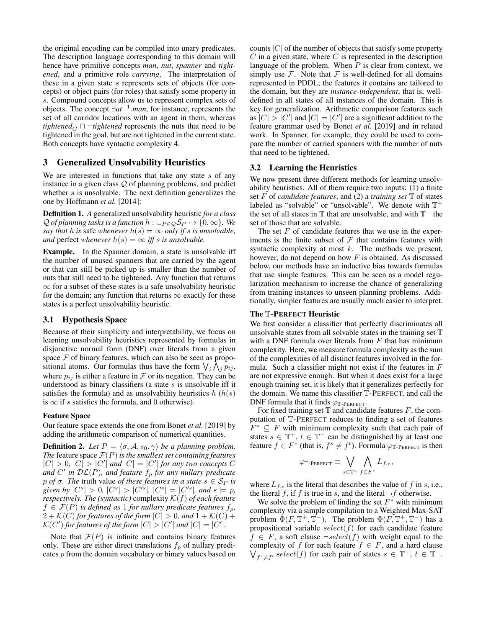the original encoding can be compiled into unary predicates. The description language corresponding to this domain will hence have primitive concepts *man*, *nut*, *spanner* and *tightened*, and a primitive role *carrying*. The interpretation of these in a given state s represents sets of objects (for concepts) or object pairs (for roles) that satisfy some property in s. Compound concepts allow us to represent complex sets of objects. The concept ∃*at*−<sup>1</sup> .*man*, for instance, represents the set of all corridor locations with an agent in them, whereas *tightened*<sub>G</sub>  $\sqcap$   $\neg$ *tightened* represents the nuts that need to be tightened in the goal, but are not tightened in the current state. Both concepts have syntactic complexity 4.

## 3 Generalized Unsolvability Heuristics

We are interested in functions that take any state  $s$  of any instance in a given class Q of planning problems, and predict whether s is unsolvable. The next definition generalizes the one by [Hoffmann](#page-6-5) *et al.* [\[2014\]](#page-6-5):

Definition 1. *A* generalized unsolvability heuristic *for a class*  $Q$  *of planning tasks is a function*  $h : \bigcup_{P \in Q} S_P \mapsto \{0, \infty\}$ *. We say that* h *is* safe *whenever*  $h(s) = \infty$  *only if s is unsolvable, and* perfect *whenever*  $h(s) = \infty$  *iff s is unsolvable.* 

Example. In the Spanner domain, a state is unsolvable iff the number of unused spanners that are carried by the agent or that can still be picked up is smaller than the number of nuts that still need to be tightened. Any function that returns  $\infty$  for a subset of these states is a safe unsolvability heuristic for the domain; any function that returns  $\infty$  exactly for these states is a perfect unsolvability heuristic.

#### 3.1 Hypothesis Space

Because of their simplicity and interpretability, we focus on learning unsolvability heuristics represented by formulas in disjunctive normal form (DNF) over literals from a given space  $F$  of binary features, which can also be seen as propositional atoms. Our formulas thus have the form  $\bigvee_i \bigwedge_j p_{ij}$ , where  $p_{ij}$  is either a feature in F or its negation. They can be understood as binary classifiers (a state  $s$  is unsolvable iff it satisfies the formula) and as unsolvability heuristics  $h(h(s))$ is  $\infty$  if s satisfies the formula, and 0 otherwise).

#### Feature Space

Our feature space extends the one from [Bonet](#page-6-13) *et al.* [\[2019\]](#page-6-13) by adding the arithmetic comparison of numerical quantities.

**Definition 2.** *Let*  $P = \langle \sigma, A, s_0, \gamma \rangle$  *be a planning problem. The* feature space  $\mathcal{F}(P)$  *is the smallest set containing features*  $|C| > 0$ ,  $|C| > |C'|$  and  $|C| = |C'|$  for any two concepts C and C' in  $\mathcal{DL}(P)$ *, and feature*  $f_p$  *for any nullary predicate p of*  $\sigma$ . The truth value *of these features in a state*  $s \in S_P$  *is given by*  $|C^s| > 0$ ,  $|C^s| > |C'^s|$ ,  $|C^s| = |C'^s|$ , and  $s \models p$ , *respectively. The (syntactic)* complexity  $K(f)$  *of each feature*  $f \in \mathcal{F}(P)$  *is defined as* 1 *for nullary predicate features*  $f_p$ *,*  $2 + \mathcal{K}(C)$  *for features of the form*  $|C| > 0$ *, and*  $1 + \mathcal{K}(C)$  +  $\mathcal{K}(C')$  for features of the form  $|C| > |C'|$  and  $|C| = |\dot{C}'|$ .

Note that  $\mathcal{F}(P)$  is infinite and contains binary features only. These are either direct translations  $f_p$  of nullary predicates p from the domain vocabulary or binary values based on counts  $|C|$  of the number of objects that satisfy some property  $C$  in a given state, where  $C$  is represented in the description language of the problem. When  $P$  is clear from context, we simply use  $\mathcal F$ . Note that  $\mathcal F$  is well-defined for all domains represented in PDDL; the features it contains are tailored to the domain, but they are *instance-independent*, that is, welldefined in all states of all instances of the domain. This is key for generalization. Arithmetic comparison features such as  $|C| > |C'|$  and  $|C| = |C'|$  are a significant addition to the feature grammar used by [Bonet](#page-6-13) *et al.* [\[2019\]](#page-6-13) and in related work. In Spanner, for example, they could be used to compare the number of carried spanners with the number of nuts that need to be tightened.

#### 3.2 Learning the Heuristics

We now present three different methods for learning unsolvability heuristics. All of them require two inputs: (1) a finite set F of *candidate features*, and (2) a *training set* T of states labeled as "solvable" or "unsolvable". We denote with  $\mathbb{T}^+$ the set of all states in  $\mathbb T$  that are unsolvable, and with  $\mathbb T^-$  the set of those that are solvable.

The set  $F$  of candidate features that we use in the experiments is the finite subset of  $\mathcal F$  that contains features with syntactic complexity at most  $k$ . The methods we present, however, do not depend on how  $F$  is obtained. As discussed below, our methods have an inductive bias towards formulas that use simple features. This can be seen as a model regularization mechanism to increase the chance of generalizing from training instances to unseen planning problems. Additionally, simpler features are usually much easier to interpret.

#### The T-PERFECT Heuristic

We first consider a classifier that perfectly discriminates all unsolvable states from all solvable states in the training set  $\mathbb T$ with a DNF formula over literals from  $F$  that has minimum complexity. Here, we measure formula complexity as the sum of the complexities of all distinct features involved in the formula. Such a classifier might not exist if the features in  $F$ are not expressive enough. But when it does exist for a large enough training set, it is likely that it generalizes perfectly for the domain. We name this classifier T-PERFECT, and call the DNF formula that it finds  $\varphi_{\mathbb{T}\text{-PERFECT}}$ .

For fixed training set  $T$  and candidate features  $F$ , the computation of T-PERFECT reduces to finding a set of features  $F^* \subseteq F$  with minimum complexity such that each pair of states  $s \in \mathbb{T}^+, t \in \mathbb{T}^-$  can be distinguished by at least one feature  $f \in F^*$  (that is,  $f^s \neq f^t$ ). Formula  $\varphi_{\mathbb{T}\text{-PERFECT}}$  is then

$$
\varphi_{\mathbb{T}\text{-PerFECT}} \equiv \bigvee_{s\in \mathbb{T}^+} \bigwedge_{f\in F^*} L_{f,s},
$$

where  $L_{f,s}$  is the literal that describes the value of f in s, i.e., the literal f, if f is true in s, and the literal  $\neg f$  otherwise.

We solve the problem of finding the set  $F^*$  with minimum complexity via a simple compilation to a Weighted Max-SAT problem  $\Phi(F, \mathbb{T}^+, \mathbb{T}^-)$ . The problem  $\Phi(F, \mathbb{T}^+, \mathbb{T}^-)$  has a propositional variable  $select(f)$  for each candidate feature  $f \in F$ , a soft clause  $\neg select(f)$  with weight equal to the complexity of f for each feature  $f \in F$ , and a hard clause  $\bigvee_{f^s \neq f^t} select(f)$  for each pair of states  $s \in \mathbb{T}^+, t \in \mathbb{T}^-$ .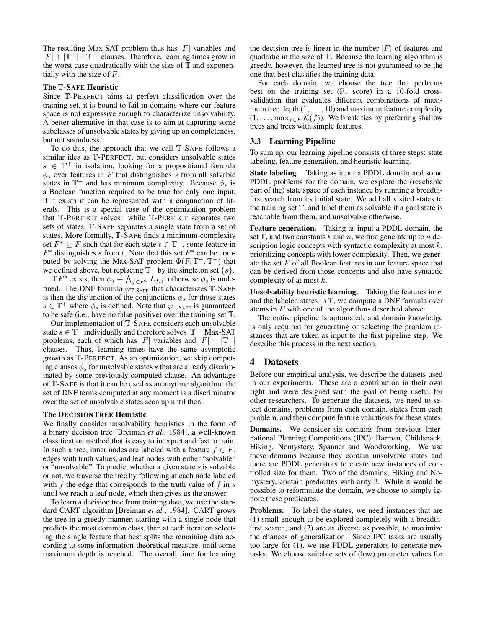The resulting Max-SAT problem thus has  $|F|$  variables and  $|F| + |\mathbb{T}^+| \cdot |\mathbb{T}^-|$  clauses. Therefore, learning times grow in the worst case quadratically with the size of  $T$  and exponentially with the size of  $F$ .

#### The T-SAFE Heuristic

Since T-PERFECT aims at perfect classification over the training set, it is bound to fail in domains where our feature space is not expressive enough to characterize unsolvability. A better alternative in that case is to aim at capturing some subclasses of unsolvable states by giving up on completeness, but not soundness.

To do this, the approach that we call T-SAFE follows a similar idea as T-PERFECT, but considers unsolvable states  $s \in \mathbb{T}^+$  in isolation, looking for a propositional formula  $\phi_s$  over features in F that distinguishes s from all solvable states in  $\mathbb{T}^-$  and has minimum complexity. Because  $\phi_s$  is a Boolean function required to be true for only one input, if it exists it can be represented with a conjunction of literals. This is a special case of the optimization problem that T-PERFECT solves: while T-PERFECT separates two sets of states, T-SAFE separates a single state from a set of states. More formally, T-SAFE finds a minimum-complexity set  $F^* \subseteq F$  such that for each state  $t \in \mathbb{T}^-$ , some feature in  $F^*$  distinguishes s from t. Note that this set  $F^*$  can be computed by solving the Max-SAT problem  $\Phi(F, \mathbb{T}^+, \mathbb{T}^-)$  that we defined above, but replacing  $\mathbb{T}^+$  by the singleton set  $\{s\}$ .

If  $F^*$  exists, then  $\phi_s \equiv \bigwedge_{f \in F^*} L_{f,s}$ ; otherwise  $\phi_s$  is undefined. The DNF formula  $\varphi_{\mathbb{T}\text{-}\text{SAFE}}$  that characterizes  $\mathbb{T}\text{-}\text{SAFE}$ is then the disjunction of the conjunctions  $\phi_s$  for those states  $s \in \mathbb{T}^+$  where  $\phi_s$  is defined. Note that  $\varphi_{\mathbb{T} \text{-SATE}}$  is guaranteed to be safe (i.e., have no false positive) over the training set T.

Our implementation of T-SAFE considers each unsolvable state  $s \in \mathbb{T}^+$  individually and therefore solves  $|\mathbb{T}^+|$  Max-SAT problems, each of which has |F| variables and  $|F| + |\mathbb{T}^{-}|$ clauses. Thus, learning times have the same asymptotic growth as T-PERFECT. As an optimization, we skip computing clauses  $\phi_s$  for unsolvable states s that are already discriminated by some previously-computed clause. An advantage of T-SAFE is that it can be used as an anytime algorithm: the set of DNF terms computed at any moment is a discriminator over the set of unsolvable states seen up until then.

#### The DECISIONTREE Heuristic

We finally consider unsolvability heuristics in the form of a binary decision tree [\[Breiman](#page-6-21) *et al.*, 1984], a well-known classification method that is easy to interpret and fast to train. In such a tree, inner nodes are labeled with a feature  $f \in F$ , edges with truth values, and leaf nodes with either "solvable" or "unsolvable". To predict whether a given state  $s$  is solvable or not, we traverse the tree by following at each node labeled with  $f$  the edge that corresponds to the truth value of  $f$  in  $s$ until we reach a leaf node, which then gives us the answer.

To learn a decision tree from training data, we use the standard CART algorithm [\[Breiman](#page-6-21) *et al.*, 1984]. CART grows the tree in a greedy manner, starting with a single node that predicts the most common class, then at each iteration selecting the single feature that best splits the remaining data according to some information-theoretical measure, until some maximum depth is reached. The overall time for learning the decision tree is linear in the number  $|F|$  of features and quadratic in the size of T. Because the learning algorithm is greedy, however, the learned tree is not guaranteed to be the one that best classifies the training data.

For each domain, we choose the tree that performs best on the training set (F1 score) in a 10-fold crossvalidation that evaluates different combinations of maximum tree depth  $(1, \ldots, 10)$  and maximum feature complexity  $(1, \ldots, \max_{f \in F} \mathcal{K}(f))$ . We break ties by preferring shallow trees and trees with simple features.

#### <span id="page-3-0"></span>3.3 Learning Pipeline

To sum up, our learning pipeline consists of three steps: state labeling, feature generation, and heuristic learning.

State labeling. Taking as input a PDDL domain and some PDDL problems for the domain, we explore the (reachable part of the) state space of each instance by running a breadthfirst search from its initial state. We add all visited states to the training set  $T$ , and label them as solvable if a goal state is reachable from them, and unsolvable otherwise.

Feature generation. Taking as input a PDDL domain, the set  $\mathbb{T}$ , and two constants k and n, we first generate up to n description logic concepts with syntactic complexity at most  $k$ , prioritizing concepts with lower complexity. Then, we generate the set  $F$  of all Boolean features in our feature space that can be derived from those concepts and also have syntactic complexity of at most  $k$ .

Unsolvability heuristic learning. Taking the features in  $F$ and the labeled states in T, we compute a DNF formula over atoms in F with one of the algorithms described above.

The entire pipeline is automated, and domain knowledge is only required for generating or selecting the problem instances that are taken as input to the first pipeline step. We describe this process in the next section.

#### 4 Datasets

Before our empirical analysis, we describe the datasets used in our experiments. These are a contribution in their own right and were designed with the goal of being useful for other researchers. To generate the datasets, we need to select domains, problems from each domain, states from each problem, and then compute feature valuations for these states.

Domains. We consider six domains from previous International Planning Competitions (IPC): Barman, Childsnack, Hiking, Nomystery, Spanner and Woodworking. We use these domains because they contain unsolvable states and there are PDDL generators to create new instances of controlled size for them. Two of the domains, Hiking and Nomystery, contain predicates with arity 3. While it would be possible to reformulate the domain, we choose to simply ignore these predicates.

Problems. To label the states, we need instances that are (1) small enough to be explored completely with a breadthfirst search, and (2) are as diverse as possible, to maximize the chances of generalization. Since IPC tasks are usually too large for (1), we use PDDL generators to generate new tasks. We choose suitable sets of (low) parameter values for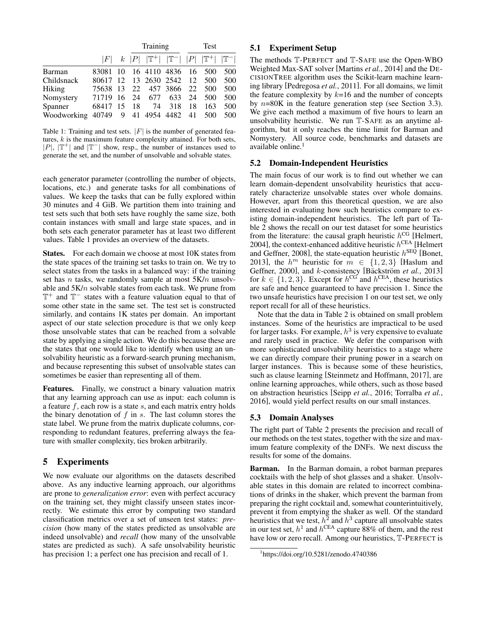<span id="page-4-0"></span>

|                                     |                         |     |    | Training                                                                                |     |     | <b>Test</b> |     |  |  |  |  |  |
|-------------------------------------|-------------------------|-----|----|-----------------------------------------------------------------------------------------|-----|-----|-------------|-----|--|--|--|--|--|
|                                     |                         |     |    | $ F $ k $ P $ $ \mathbb{T}^+ $ $ \mathbb{T}^- $ $ P $ $ \mathbb{T}^+ $ $ \mathbb{T}^- $ |     |     |             |     |  |  |  |  |  |
| Barman                              | 83081                   | -10 |    | 16 4110 4836 16                                                                         |     |     | 500         | 500 |  |  |  |  |  |
| Childsnack                          | 80617                   |     |    | 12 13 2630 2542 12                                                                      |     |     | 500         | 500 |  |  |  |  |  |
| Hiking                              | 75638 13 22 457 3866 22 |     |    |                                                                                         |     |     | 500         | 500 |  |  |  |  |  |
| Nomystery                           | 71719 16 24 677         |     |    |                                                                                         | 633 | -24 | 500         | 500 |  |  |  |  |  |
| Spanner                             | 68417 15                |     | 18 | 74                                                                                      | 318 | 18  | 163         | 500 |  |  |  |  |  |
| Woodworking 40749 9 41 4954 4482 41 |                         |     |    |                                                                                         |     |     | 500         | 500 |  |  |  |  |  |

Table 1: Training and test sets.  $|F|$  is the number of generated features,  $k$  is the maximum feature complexity attained. For both sets, | $P$ |, | $\mathbb{T}^+$ | and | $\mathbb{T}^-$ | show, resp., the number of instances used to generate the set, and the number of unsolvable and solvable states.

each generator parameter (controlling the number of objects, locations, etc.) and generate tasks for all combinations of values. We keep the tasks that can be fully explored within 30 minutes and 4 GiB. We partition them into training and test sets such that both sets have roughly the same size, both contain instances with small and large state spaces, and in both sets each generator parameter has at least two different values. Table [1](#page-4-0) provides an overview of the datasets.

States. For each domain we choose at most 10K states from the state spaces of the training set tasks to train on. We try to select states from the tasks in a balanced way: if the training set has  $n$  tasks, we randomly sample at most  $5K/n$  unsolvable and 5K/n solvable states from each task. We prune from T <sup>+</sup> and T <sup>−</sup> states with a feature valuation equal to that of some other state in the same set. The test set is constructed similarly, and contains 1K states per domain. An important aspect of our state selection procedure is that we only keep those unsolvable states that can be reached from a solvable state by applying a single action. We do this because these are the states that one would like to identify when using an unsolvability heuristic as a forward-search pruning mechanism, and because representing this subset of unsolvable states can sometimes be easier than representing all of them.

Features. Finally, we construct a binary valuation matrix that any learning approach can use as input: each column is a feature  $f$ , each row is a state  $s$ , and each matrix entry holds the binary denotation of  $f$  in  $s$ . The last column stores the state label. We prune from the matrix duplicate columns, corresponding to redundant features, preferring always the feature with smaller complexity, ties broken arbitrarily.

## 5 Experiments

We now evaluate our algorithms on the datasets described above. As any inductive learning approach, our algorithms are prone to *generalization error*: even with perfect accuracy on the training set, they might classify unseen states incorrectly. We estimate this error by computing two standard classification metrics over a set of unseen test states: *precision* (how many of the states predicted as unsolvable are indeed unsolvable) and *recall* (how many of the unsolvable states are predicted as such). A safe unsolvability heuristic has precision 1; a perfect one has precision and recall of 1.

## 5.1 Experiment Setup

The methods T-PERFECT and T-SAFE use the Open-WBO Weighted Max-SAT solver [\[Martins](#page-6-22) *et al.*, 2014] and the DE-CISIONTREE algorithm uses the Scikit-learn machine learning library [\[Pedregosa](#page-6-23) *et al.*, 2011]. For all domains, we limit the feature complexity by  $k=16$  and the number of concepts by  $n=80K$  in the feature generation step (see Section [3.3\)](#page-3-0). We give each method a maximum of five hours to learn an unsolvability heuristic. We run T-SAFE as an anytime algorithm, but it only reaches the time limit for Barman and Nomystery. All source code, benchmarks and datasets are available online.<sup>[1](#page-4-1)</sup>

## 5.2 Domain-Independent Heuristics

The main focus of our work is to find out whether we can learn domain-dependent unsolvability heuristics that accurately characterize unsolvable states over whole domains. However, apart from this theoretical question, we are also interested in evaluating how such heuristics compare to existing domain-independent heuristics. The left part of Table [2](#page-5-0) shows the recall on our test dataset for some heuristics from the literature: the causal graph heuristic  $h^{\text{CG}}$  [\[Helmert,](#page-6-24) [2004\]](#page-6-24), the context-enhanced additive heuristic  $h^{\text{CEA}}$  [\[Helmert](#page-6-25) [and Geffner, 2008\]](#page-6-25), the state-equation heuristic  $h^{\text{SEQ}}$  [\[Bonet,](#page-6-26) [2013\]](#page-6-26), the  $h^m$  heuristic for  $m \in \{1,2,3\}$  [\[Haslum and](#page-6-27) [Geffner, 2000\]](#page-6-27), and k-consistency [Bäckström et al., 2013] for  $k \in \{1, 2, 3\}$ . Except for  $h^{\text{CG}}$  and  $h^{\text{CEA}}$ , these heuristics are safe and hence guaranteed to have precision 1. Since the two unsafe heuristics have precision 1 on our test set, we only report recall for all of these heuristics.

Note that the data in Table [2](#page-5-0) is obtained on small problem instances. Some of the heuristics are impractical to be used for larger tasks. For example,  $h^3$  is very expensive to evaluate and rarely used in practice. We defer the comparison with more sophisticated unsolvability heuristics to a stage where we can directly compare their pruning power in a search on larger instances. This is because some of these heuristics, such as clause learning [\[Steinmetz and Hoffmann, 2017\]](#page-6-9), are online learning approaches, while others, such as those based on abstraction heuristics [Seipp *et al.*[, 2016;](#page-6-11) [Torralba](#page-6-28) *et al.*, [2016\]](#page-6-28), would yield perfect results on our small instances.

## 5.3 Domain Analyses

The right part of Table [2](#page-5-0) presents the precision and recall of our methods on the test states, together with the size and maximum feature complexity of the DNFs. We next discuss the results for some of the domains.

Barman. In the Barman domain, a robot barman prepares cocktails with the help of shot glasses and a shaker. Unsolvable states in this domain are related to incorrect combinations of drinks in the shaker, which prevent the barman from preparing the right cocktail and, somewhat counterintuitively, prevent it from emptying the shaker as well. Of the standard heuristics that we test,  $h^2$  and  $h^3$  capture all unsolvable states in our test set,  $h^1$  and  $h^{\text{CEA}}$  capture 88% of them, and the rest have low or zero recall. Among our heuristics,  $\mathbb{T}$ -PERFECT is

<span id="page-4-1"></span><sup>1</sup> <https://doi.org/10.5281/zenodo.4740386>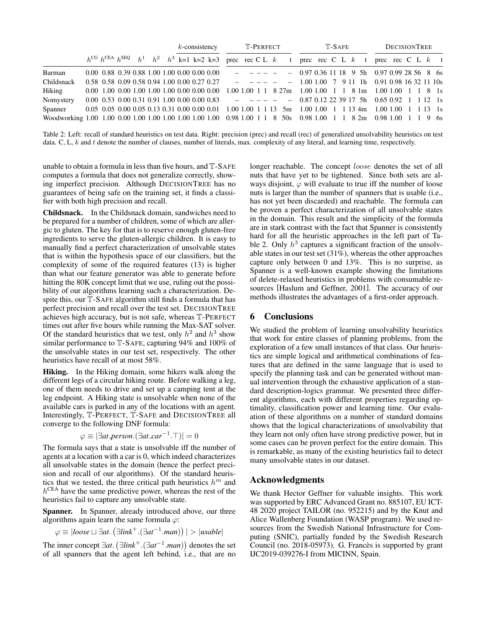<span id="page-5-0"></span>

|            |  |  |  | $k$ -consistency |  | T-PERFECT                                                                                                                                                      |  |                                                                                                                                                                                                                                                                                                                                                                                                                                                                                        |  | T-SAFE |                                               |  |  | <b>DECISIONTREE</b> |  |  |  |  |  |  |  |
|------------|--|--|--|------------------|--|----------------------------------------------------------------------------------------------------------------------------------------------------------------|--|----------------------------------------------------------------------------------------------------------------------------------------------------------------------------------------------------------------------------------------------------------------------------------------------------------------------------------------------------------------------------------------------------------------------------------------------------------------------------------------|--|--------|-----------------------------------------------|--|--|---------------------|--|--|--|--|--|--|--|
|            |  |  |  |                  |  | $h^{\text{CG}} h^{\text{CEA}} h^{\text{SEQ}}$ $h^1$ $h^2$ $h^3$ k=1 k=2 k=3 prec rec C L k t prec rec C L k t prec rec C L k t                                 |  |                                                                                                                                                                                                                                                                                                                                                                                                                                                                                        |  |        |                                               |  |  |                     |  |  |  |  |  |  |  |
| Barman     |  |  |  |                  |  | $0.00\,0.88\,0.39\,0.88\,1.00\,1.00\,0.00\,0.00\,0.00$                                                                                                         |  | 10 <b>10 10 10 11 11 11 11 11 11 11 11 11 11</b>                                                                                                                                                                                                                                                                                                                                                                                                                                       |  |        | $-0.970.36111895h0.970.99285686s$             |  |  |                     |  |  |  |  |  |  |  |
| Childsnack |  |  |  |                  |  | 0.58 0.58 0.09 0.58 0.94 1.00 0.00 0.27 0.27                                                                                                                   |  | $\begin{array}{cccccccccccccc} \multicolumn{2}{c}{} & \multicolumn{2}{c}{} & \multicolumn{2}{c}{} & \multicolumn{2}{c}{} & \multicolumn{2}{c}{} & \multicolumn{2}{c}{} & \multicolumn{2}{c}{} & \multicolumn{2}{c}{} & \multicolumn{2}{c}{} & \multicolumn{2}{c}{} & \multicolumn{2}{c}{} & \multicolumn{2}{c}{} & \multicolumn{2}{c}{} & \multicolumn{2}{c}{} & \multicolumn{2}{c}{} & \multicolumn{2}{c}{} & \multicolumn{2}{c}{} & \multicolumn{2}{c}{} & \multicolumn{2}{c}{} & \$ |  |        | $-1.001.0079111 h$ 0.91 0.98 16 32 11 10s     |  |  |                     |  |  |  |  |  |  |  |
| Hiking     |  |  |  |                  |  | $0.00\ 1.00\ 0.00\ 1.00\ 1.00\ 1.00\ 0.00\ 0.00\ 0.00$                                                                                                         |  | 1.00 1.00 1 1 8 27m 1.00 1.00 1 1 8 1m 1.00 1.00 1 1 8 1s                                                                                                                                                                                                                                                                                                                                                                                                                              |  |        |                                               |  |  |                     |  |  |  |  |  |  |  |
| Nomystery  |  |  |  |                  |  | $0.00 \quad 0.53 \quad 0.00 \quad 0.31 \quad 0.91 \quad 1.00 \quad 0.00 \quad 0.00 \quad 0.83$ - - - - -                                                       |  |                                                                                                                                                                                                                                                                                                                                                                                                                                                                                        |  |        | $-$ 0.87 0.12 22 39 17 5h 0.65 0.92 1 1 12 1s |  |  |                     |  |  |  |  |  |  |  |
| Spanner    |  |  |  |                  |  | $0.05$ $0.05$ $0.00$ $0.05$ $0.13$ $0.31$ $0.00$ $0.00$ $0.01$ $1.00$ $1.00$ $1$ $1$ $13$ $5m$ $1.00$ $1.00$ $1$ $1$ $13$ $4m$ $1.00$ $1.00$ $1$ $1$ $13$ $1s$ |  |                                                                                                                                                                                                                                                                                                                                                                                                                                                                                        |  |        |                                               |  |  |                     |  |  |  |  |  |  |  |
|            |  |  |  |                  |  |                                                                                                                                                                |  |                                                                                                                                                                                                                                                                                                                                                                                                                                                                                        |  |        |                                               |  |  |                     |  |  |  |  |  |  |  |

Table 2: Left: recall of standard heuristics on test data. Right: precision (prec) and recall (rec) of generalized unsolvability heuristics on test data. C, L,  $k$  and  $t$  denote the number of clauses, number of literals, max. complexity of any literal, and learning time, respectively.

unable to obtain a formula in less than five hours, and T-SAFE computes a formula that does not generalize correctly, showing imperfect precision. Although DECISIONTREE has no guarantees of being safe on the training set, it finds a classifier with both high precision and recall.

Childsnack. In the Childsnack domain, sandwiches need to be prepared for a number of children, some of which are allergic to gluten. The key for that is to reserve enough gluten-free ingredients to serve the gluten-allergic children. It is easy to manually find a perfect characterization of unsolvable states that is within the hypothesis space of our classifiers, but the complexity of some of the required features (13) is higher than what our feature generator was able to generate before hitting the 80K concept limit that we use, ruling out the possibility of our algorithms learning such a characterization. Despite this, our T-SAFE algorithm still finds a formula that has perfect precision and recall over the test set. DECISIONTREE achieves high accuracy, but is not safe, whereas T-PERFECT times out after five hours while running the Max-SAT solver. Of the standard heuristics that we test, only  $h^2$  and  $h^3$  show similar performance to T-SAFE, capturing 94% and 100% of the unsolvable states in our test set, respectively. The other heuristics have recall of at most 58%.

Hiking. In the Hiking domain, some hikers walk along the different legs of a circular hiking route. Before walking a leg, one of them needs to drive and set up a camping tent at the leg endpoint. A Hiking state is unsolvable when none of the available cars is parked in any of the locations with an agent. Interestingly, T-PERFECT, T-SAFE and DECISIONTREE all converge to the following DNF formula:

$$
\varphi \equiv |\exists at\_person.(\exists at\_car^{-1}.\top)| = 0
$$

The formula says that a state is unsolvable iff the number of agents at a location with a car is 0, which indeed characterizes all unsolvable states in the domain (hence the perfect precision and recall of our algorithms). Of the standard heuristics that we tested, the three critical path heuristics  $h^m$  and  $h^{\text{CEA}}$  have the same predictive power, whereas the rest of the heuristics fail to capture any unsolvable state.

Spanner. In Spanner, already introduced above, our three algorithms again learn the same formula  $\varphi$ :

 $\varphi \equiv |loose \sqcup \exists at. (\exists link^+ . (\exists at^{-1}.man)) | > |usable|$ 

The inner concept ∃*at*. ∃*link*<sup>+</sup>.(∃*at*<sup>−</sup><sup>1</sup> .*man*) denotes the set of all spanners that the agent left behind, i.e., that are no longer reachable. The concept loose denotes the set of all nuts that have yet to be tightened. Since both sets are always disjoint,  $\varphi$  will evaluate to true iff the number of loose nuts is larger than the number of spanners that is usable (i.e., has not yet been discarded) and reachable. The formula can be proven a perfect characterization of all unsolvable states in the domain. This result and the simplicity of the formula are in stark contrast with the fact that Spanner is consistently hard for all the heuristic approaches in the left part of Ta-ble [2.](#page-5-0) Only  $h^3$  captures a significant fraction of the unsolvable states in our test set (31%), whereas the other approaches capture only between 0 and 13%. This is no surprise, as Spanner is a well-known example showing the limitations of delete-relaxed heuristics in problems with consumable resources [\[Haslum and Geffner, 2001\]](#page-6-29). The accuracy of our methods illustrates the advantages of a first-order approach.

## 6 Conclusions

We studied the problem of learning unsolvability heuristics that work for entire classes of planning problems, from the exploration of a few small instances of that class. Our heuristics are simple logical and arithmetical combinations of features that are defined in the same language that is used to specify the planning task and can be generated without manual intervention through the exhaustive application of a standard description-logics grammar. We presented three different algorithms, each with different properties regarding optimality, classification power and learning time. Our evaluation of these algorithms on a number of standard domains shows that the logical characterizations of unsolvability that they learn not only often have strong predictive power, but in some cases can be proven perfect for the entire domain. This is remarkable, as many of the existing heuristics fail to detect many unsolvable states in our dataset.

## Acknowledgments

We thank Hector Geffner for valuable insights. This work was supported by ERC Advanced Grant no. 885107, EU ICT-48 2020 project TAILOR (no. 952215) and by the Knut and Alice Wallenberg Foundation (WASP program). We used resources from the Swedish National Infrastructure for Computing (SNIC), partially funded by the Swedish Research Council (no.  $2018-05973$ ). G. Francès is supported by grant IJC2019-039276-I from MICINN, Spain.